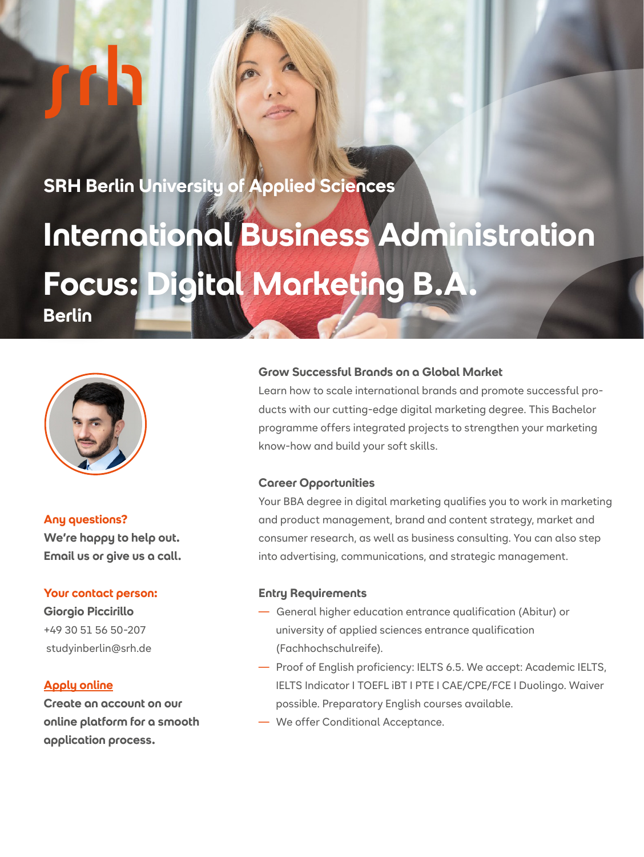**SRH Berlin University of Applied Sciences**

# **International Business Administration Focus: Digital Marketing B.A. Berlin**



#### **Any questions?**

**We're happy to help out. Email us or give us a call.**

#### **Your contact person:**

**Giorgio Piccirillo** +49 30 51 56 50-207 studyinberlin@srh.de

### **[Apply online](https://apply.srh.de/en_GB/?utm_source=wkz-BE9204HB02&utm_medium=pdf&utm_campaign=2p-en-ba-iba-dig-market-vz-be&utm_content=en-dreamapply&utm_term=web)**

**Create an account on our online platform for a smooth application process.**

#### **Grow Successful Brands on a Global Market**

Learn how to scale international brands and promote successful products with our cutting-edge digital marketing degree. This Bachelor programme offers integrated projects to strengthen your marketing know-how and build your soft skills.

#### **Career Opportunities**

Your BBA degree in digital marketing qualifies you to work in marketing and product management, brand and content strategy, market and consumer research, as well as business consulting. You can also step into advertising, communications, and strategic management.

#### **Entry Requirements**

- General higher education entrance qualification (Abitur) or university of applied sciences entrance qualification (Fachhochschulreife).
- Proof of English proficiency: IELTS 6.5. We accept: Academic IELTS, IELTS Indicator I TOEFL iBT I PTE I CAE/CPE/FCE I Duolingo. Waiver possible. Preparatory English courses available.
- We offer Conditional Acceptance.